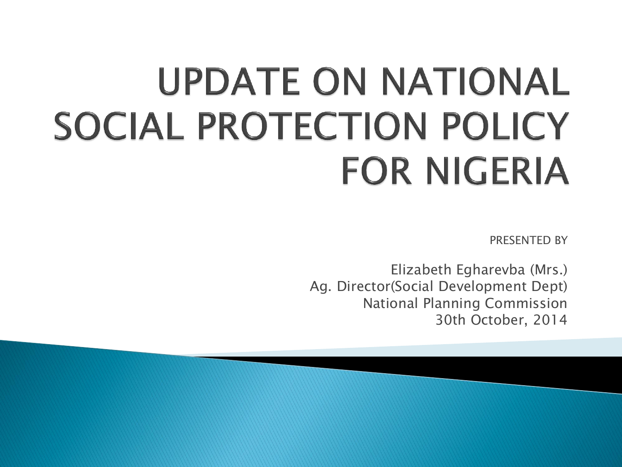# UPDATE ON NATIONAL SOCIAL PROTECTION POLICY **FOR NIGERIA**

PRESENTED BY

Elizabeth Egharevba (Mrs.) Ag. Director(Social Development Dept) National Planning Commission 30th October, 2014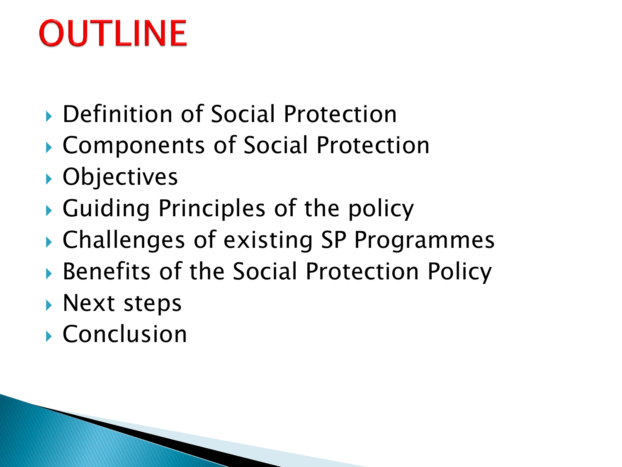# **OUTLINE**

- ▶ Definition of Social Protection
- ▶ Components of Social Protection
- ▶ Objectives
- Guiding Principles of the policy
- ▶ Challenges of existing SP Programmes
- ▶ Benefits of the Social Protection Policy
- **Next steps**
- Conclusion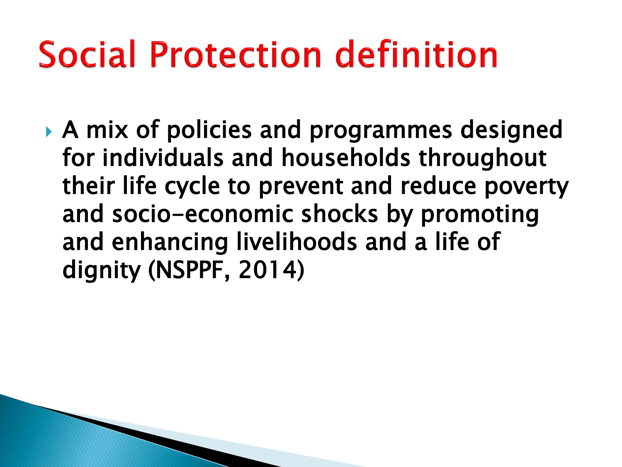# Social Protection definition

 A mix of policies and programmes designed for individuals and households throughout their life cycle to prevent and reduce poverty and socio-economic shocks by promoting and enhancing livelihoods and a life of dignity (NSPPF, 2014)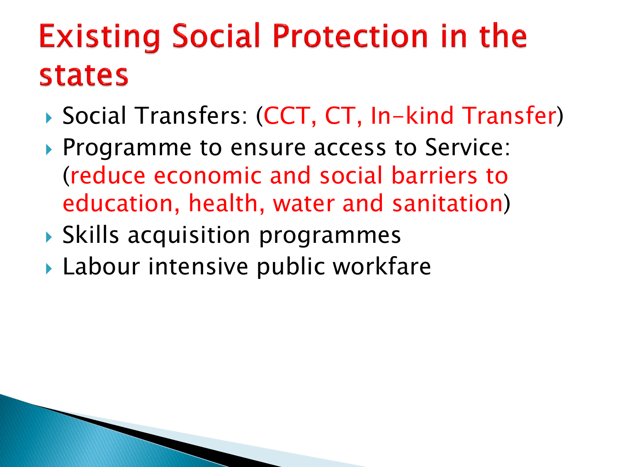#### **Existing Social Protection in the states**

- Social Transfers: (CCT, CT, In-kind Transfer)
- **Programme to ensure access to Service:** (reduce economic and social barriers to education, health, water and sanitation)
- Skills acquisition programmes
- ▶ Labour intensive public workfare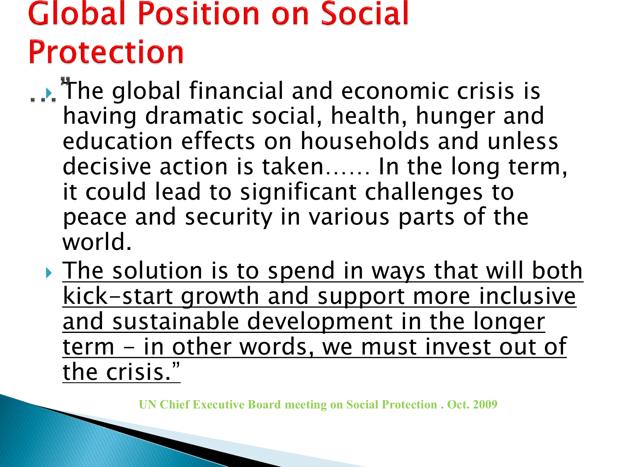#### **Global Position on Social Protection**

∴. The global financial and economic crisis is having dramatic social, health, hunger and education effects on households and unless decisive action is taken…… In the long term, it could lead to significant challenges to peace and security in various parts of the world.

If The solution is to spend in ways that will both kick-start growth and support more inclusive and sustainable development in the longer term - in other words, we must invest out of the crisis."

**UN Chief Executive Board meeting on Social Protection . Oct. 2009**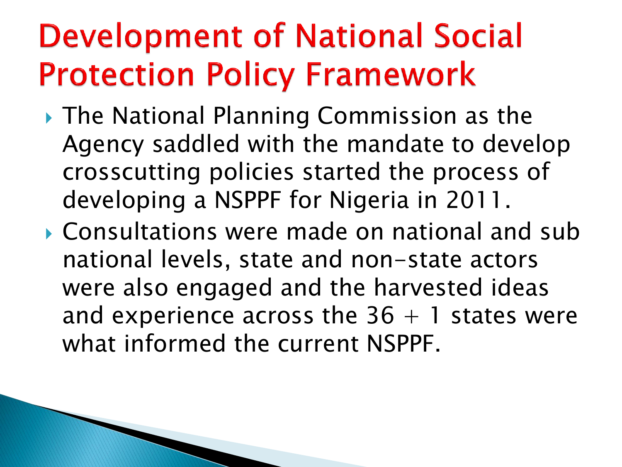### **Development of National Social Protection Policy Framework**

- ▶ The National Planning Commission as the Agency saddled with the mandate to develop crosscutting policies started the process of developing a NSPPF for Nigeria in 2011.
- Consultations were made on national and sub national levels, state and non-state actors were also engaged and the harvested ideas and experience across the  $36 + 1$  states were what informed the current NSPPF.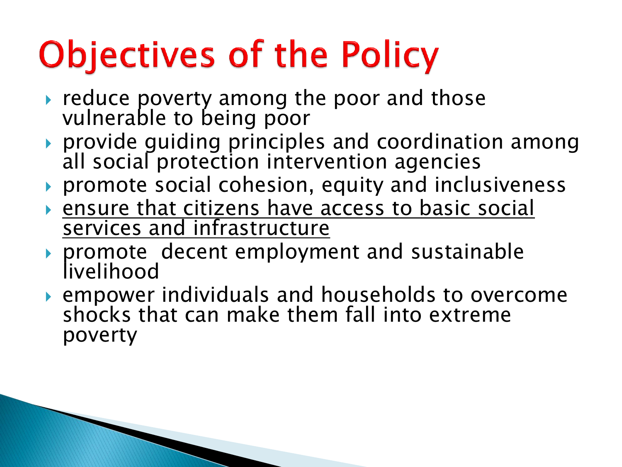# **Objectives of the Policy**

- reduce poverty among the poor and those vulnerable to being poor
- ▶ provide quiding principles and coordination among all social protection intervention agencies
- promote social cohesion, equity and inclusiveness
- ensure that citizens have access to basic social services and infrastructure
- promote decent employment and sustainable livelihood
- empower individuals and households to overcome shocks that can make them fall into extreme poverty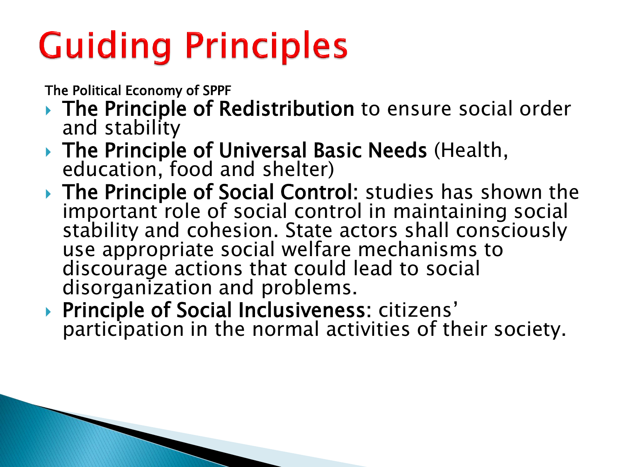# **Guiding Principles**

The Political Economy of SPPF

- ▶ The Principle of Redistribution to ensure social order and stability
- ▶ The Principle of Universal Basic Needs (Health, education, food and shelter)
- ▶ The Principle of Social Control: studies has shown the important role of social control in maintaining social stability and cohesion. State actors shall consciously use appropriate social welfare mechanisms to discourage actions that could lead to social disorganization and problems.
- ▶ Principle of Social Inclusiveness: citizens' participation in the normal activities of their society.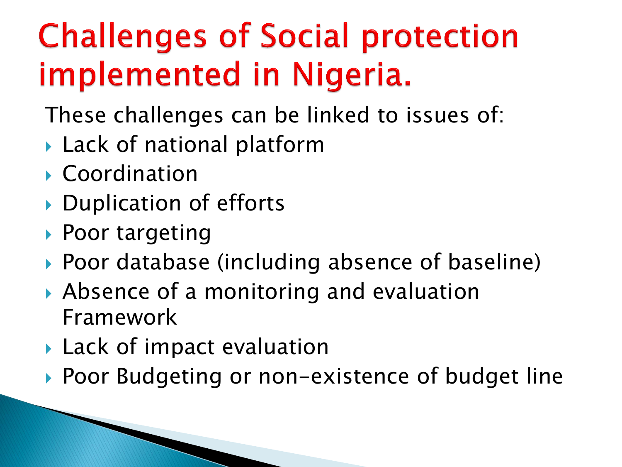### **Challenges of Social protection** implemented in Nigeria.

- These challenges can be linked to issues of:
- ▶ Lack of national platform
- ▶ Coordination
- ▶ Duplication of efforts
- ▶ Poor targeting
- ▶ Poor database (including absence of baseline)
- Absence of a monitoring and evaluation Framework
- ▶ Lack of impact evaluation
- ▶ Poor Budgeting or non-existence of budget line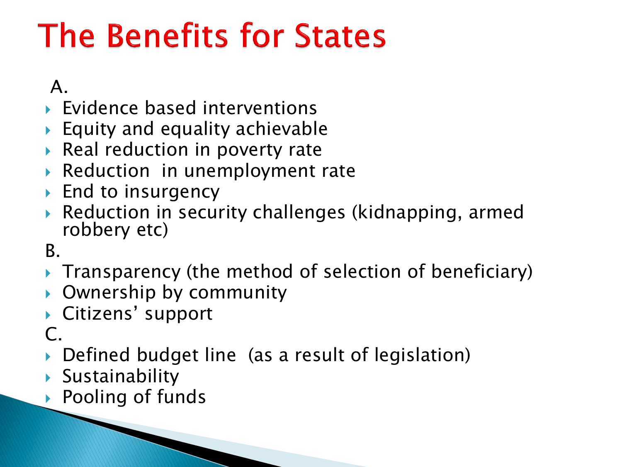### **The Benefits for States**

#### A.

- Evidence based interventions
- $\triangleright$  Equity and equality achievable
- ▶ Real reduction in poverty rate
- Reduction in unemployment rate
- ▶ End to insurgency
- Reduction in security challenges (kidnapping, armed robbery etc)

#### B.

- Transparency (the method of selection of beneficiary)
- Ownership by community
- ▶ Citizens' support

#### $\mathsf{C}$ .

- ▶ Defined budget line (as a result of legislation)
- Sustainability
- ▶ Pooling of funds

**The Common Common Common Common Common Common Common Common Common Common Common Common Common Common Common C**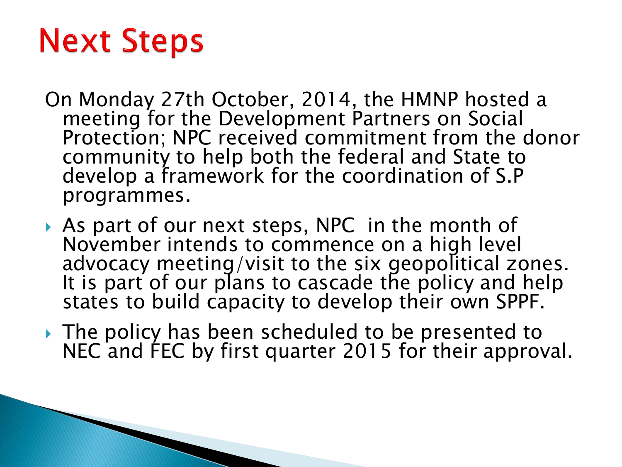#### **Next Steps**

- On Monday 27th October, 2014, the HMNP hosted a meeting for the Development Partners on Social Protection; NPC received commitment from the donor community to help both the federal and State to develop a framework for the coordination of S.P programmes.
- As part of our next steps, NPC in the month of November intends to commence on a high level advocacy meeting/visit to the six geopolitical zones. It is part of our plans to cascade the policy and help states to build capacity to develop their own SPPF.
- The policy has been scheduled to be presented to NEC and FEC by first quarter 2015 for their approval.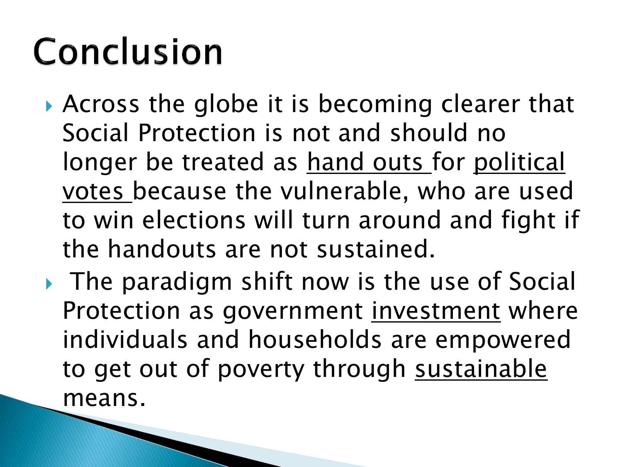# Conclusion

- ▶ Across the globe it is becoming clearer that Social Protection is not and should no longer be treated as hand outs for political votes because the vulnerable, who are used to win elections will turn around and fight if the handouts are not sustained.
- ▶ The paradigm shift now is the use of Social Protection as government investment where individuals and households are empowered to get out of poverty through sustainable means.